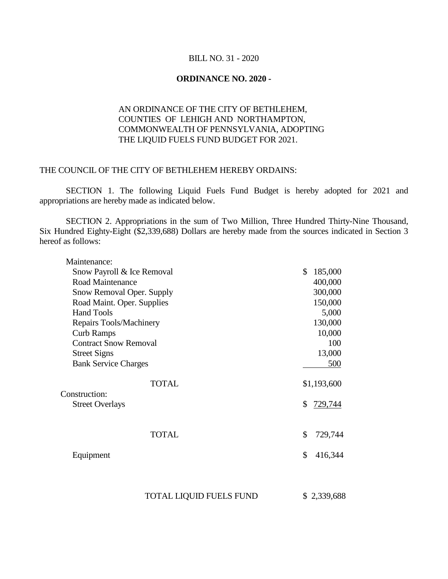## BILL NO. 31 - 2020

## **ORDINANCE NO. 2020 -**

## AN ORDINANCE OF THE CITY OF BETHLEHEM, COUNTIES OF LEHIGH AND NORTHAMPTON, COMMONWEALTH OF PENNSYLVANIA, ADOPTING THE LIQUID FUELS FUND BUDGET FOR 2021.

## THE COUNCIL OF THE CITY OF BETHLEHEM HEREBY ORDAINS:

SECTION 1. The following Liquid Fuels Fund Budget is hereby adopted for 2021 and appropriations are hereby made as indicated below.

SECTION 2. Appropriations in the sum of Two Million, Three Hundred Thirty-Nine Thousand, Six Hundred Eighty-Eight (\$2,339,688) Dollars are hereby made from the sources indicated in Section 3 hereof as follows:

| Maintenance:                 |               |
|------------------------------|---------------|
| Snow Payroll & Ice Removal   | \$<br>185,000 |
| Road Maintenance             | 400,000       |
| Snow Removal Oper. Supply    | 300,000       |
| Road Maint. Oper. Supplies   | 150,000       |
| <b>Hand Tools</b>            | 5,000         |
| Repairs Tools/Machinery      | 130,000       |
| <b>Curb Ramps</b>            | 10,000        |
| <b>Contract Snow Removal</b> | 100           |
| <b>Street Signs</b>          | 13,000        |
| <b>Bank Service Charges</b>  | 500           |
| <b>TOTAL</b>                 | \$1,193,600   |
| Construction:                |               |
| <b>Street Overlays</b>       | \$<br>729,744 |
|                              |               |
| <b>TOTAL</b>                 | \$<br>729,744 |
| Equipment                    | \$<br>416,344 |
|                              |               |

TOTAL LIQUID FUELS FUND \$2,339,688